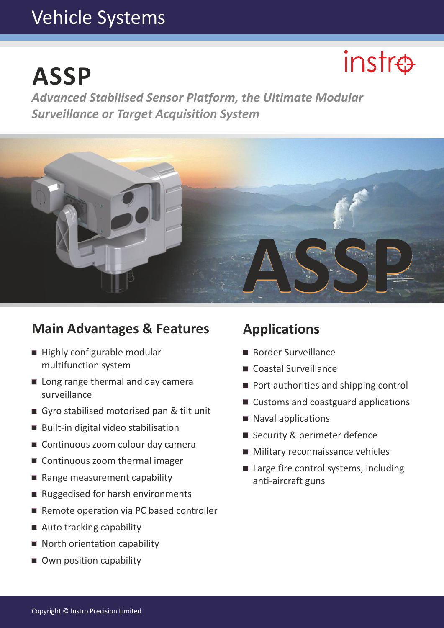# Vehicle Systems

# **ASSP**

# $instr\oplus$

*Advanced Stabilised Sensor Platform, the Ultimate Modular Surveillance or Target Acquisition System*



### **Main Advantages & Features Applications**

- $\blacksquare$  Highly configurable modular multifunction system
- Long range thermal and day camera surveillance
- Gyro stabilised motorised pan & tilt unit
- Built-in digital video stabilisation
- Continuous zoom colour day camera
- Continuous zoom thermal imager
- Range measurement capability
- Ruggedised for harsh environments
- Remote operation via PC based controller
- $\blacksquare$  Auto tracking capability
- North orientation capability
- Own position capability

- Border Surveillance
- Coastal Surveillance
- Port authorities and shipping control
- Customs and coastguard applications
- Naval applications
- Security & perimeter defence
- **Military reconnaissance vehicles**
- Large fire control systems, including anti-aircraft guns